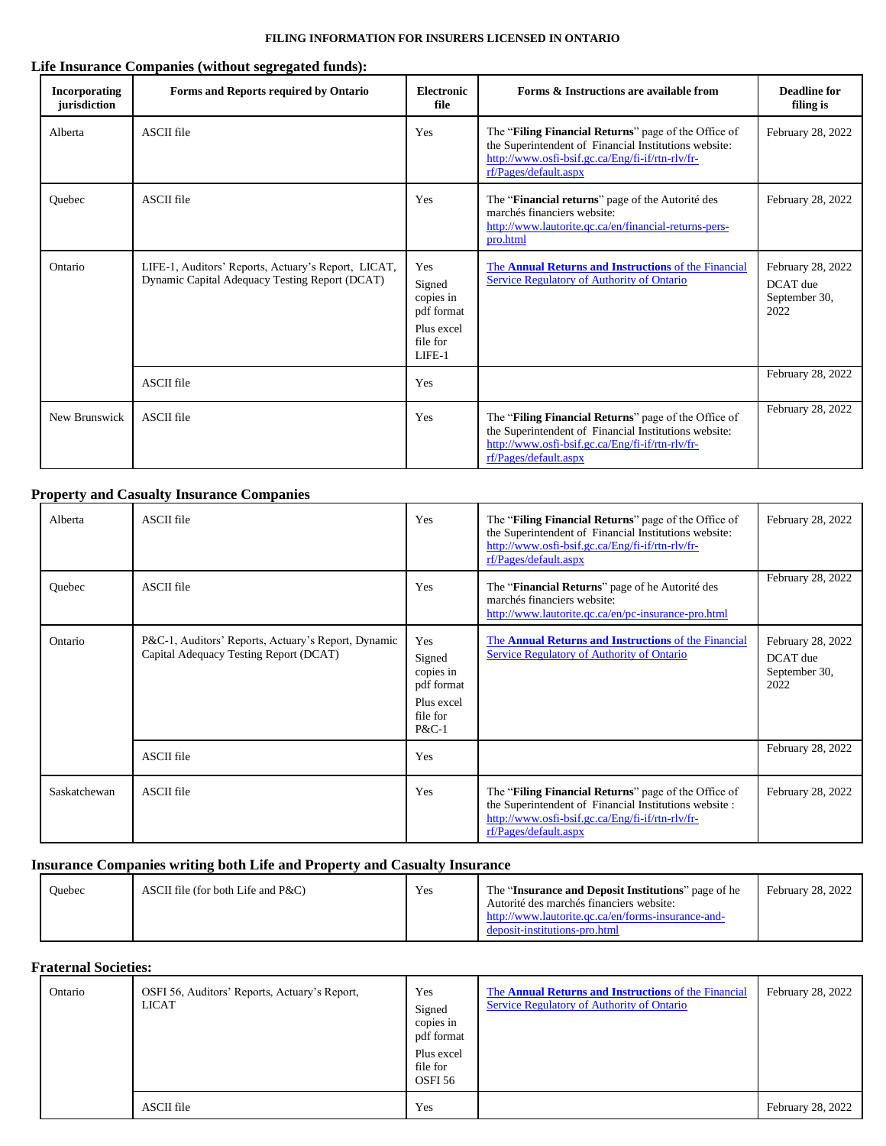## **Life Insurance Companies (without segregated funds):**

| <b>Incorporating</b><br>jurisdiction | Forms and Reports required by Ontario                                                                 | <b>Electronic</b><br>file                                                    | Forms & Instructions are available from                                                                                                                                                    | <b>Deadline</b> for<br>filing is                       |
|--------------------------------------|-------------------------------------------------------------------------------------------------------|------------------------------------------------------------------------------|--------------------------------------------------------------------------------------------------------------------------------------------------------------------------------------------|--------------------------------------------------------|
| Alberta                              | <b>ASCII</b> file                                                                                     | Yes                                                                          | The "Filing Financial Returns" page of the Office of<br>the Superintendent of Financial Institutions website:<br>http://www.osfi-bsif.gc.ca/Eng/fi-if/rtn-rlv/fr-<br>rf/Pages/default.aspx | February 28, 2022                                      |
| Quebec                               | <b>ASCII</b> file                                                                                     | Yes                                                                          | The " <b>Financial returns</b> " page of the Autorité des<br>marchés financiers website:<br>http://www.lautorite.qc.ca/en/financial-returns-pers-<br>pro.html                              | February 28, 2022                                      |
| Ontario                              | LIFE-1, Auditors' Reports, Actuary's Report, LICAT,<br>Dynamic Capital Adequacy Testing Report (DCAT) | Yes<br>Signed<br>copies in<br>pdf format<br>Plus excel<br>file for<br>LIFE-1 | The Annual Returns and Instructions of the Financial<br>Service Regulatory of Authority of Ontario                                                                                         | February 28, 2022<br>DCAT due<br>September 30,<br>2022 |
|                                      | <b>ASCII</b> file                                                                                     | Yes                                                                          |                                                                                                                                                                                            | February 28, 2022                                      |
| New Brunswick                        | <b>ASCII</b> file                                                                                     | Yes                                                                          | The "Filing Financial Returns" page of the Office of<br>the Superintendent of Financial Institutions website:<br>http://www.osfi-bsif.gc.ca/Eng/fi-if/rtn-rlv/fr-<br>rf/Pages/default.aspx | February 28, 2022                                      |

# **Property and Casualty Insurance Companies**

| Alberta      | <b>ASCII</b> file                                                                             | Yes                                                                         | The " <b>Filing Financial Returns</b> " page of the Office of<br>the Superintendent of Financial Institutions website:<br>http://www.osfi-bsif.gc.ca/Eng/fi-if/rtn-rlv/fr-<br>rf/Pages/default.aspx | February 28, 2022                                      |
|--------------|-----------------------------------------------------------------------------------------------|-----------------------------------------------------------------------------|-----------------------------------------------------------------------------------------------------------------------------------------------------------------------------------------------------|--------------------------------------------------------|
| Quebec       | ASCII file                                                                                    | Yes                                                                         | The " <b>Financial Returns</b> " page of he Autorité des<br>marchés financiers website:<br>http://www.lautorite.qc.ca/en/pc-insurance-pro.html                                                      | February 28, 2022                                      |
| Ontario      | P&C-1, Auditors' Reports, Actuary's Report, Dynamic<br>Capital Adequacy Testing Report (DCAT) | Yes<br>Signed<br>copies in<br>pdf format<br>Plus excel<br>file for<br>P&C-1 | The <b>Annual Returns and Instructions</b> of the Financial<br>Service Regulatory of Authority of Ontario                                                                                           | February 28, 2022<br>DCAT due<br>September 30,<br>2022 |
|              | <b>ASCII</b> file                                                                             | Yes                                                                         |                                                                                                                                                                                                     | February 28, 2022                                      |
| Saskatchewan | <b>ASCII</b> file                                                                             | Yes                                                                         | The "Filing Financial Returns" page of the Office of<br>the Superintendent of Financial Institutions website:<br>http://www.osfi-bsif.gc.ca/Eng/fi-if/rtn-rlv/fr-<br>rf/Pages/default.aspx          | February 28, 2022                                      |

## **Insurance Companies writing both Life and Property and Casualty Insurance**

| Ouebec | ASCII file (for both Life and $P\&C$ ) | Yes | The "Insurance and Deposit Institutions" page of he<br>Autorité des marchés financiers website:<br>http://www.lautorite.qc.ca/en/forms-insurance-and-<br>deposit-institutions-pro.html | February 28, 2022 |
|--------|----------------------------------------|-----|----------------------------------------------------------------------------------------------------------------------------------------------------------------------------------------|-------------------|
|--------|----------------------------------------|-----|----------------------------------------------------------------------------------------------------------------------------------------------------------------------------------------|-------------------|

#### **Fraternal Societies:**

| Ontario | OSFI 56, Auditors' Reports, Actuary's Report,<br>LICAT | Yes<br>Signed<br>copies in<br>pdf format<br>Plus excel<br>file for<br>OSFI <sub>56</sub> | The <b>Annual Returns and Instructions</b> of the Financial<br><b>Service Regulatory of Authority of Ontario</b> | February 28, 2022 |
|---------|--------------------------------------------------------|------------------------------------------------------------------------------------------|------------------------------------------------------------------------------------------------------------------|-------------------|
|         | <b>ASCII</b> file                                      | Yes                                                                                      |                                                                                                                  | February 28, 2022 |